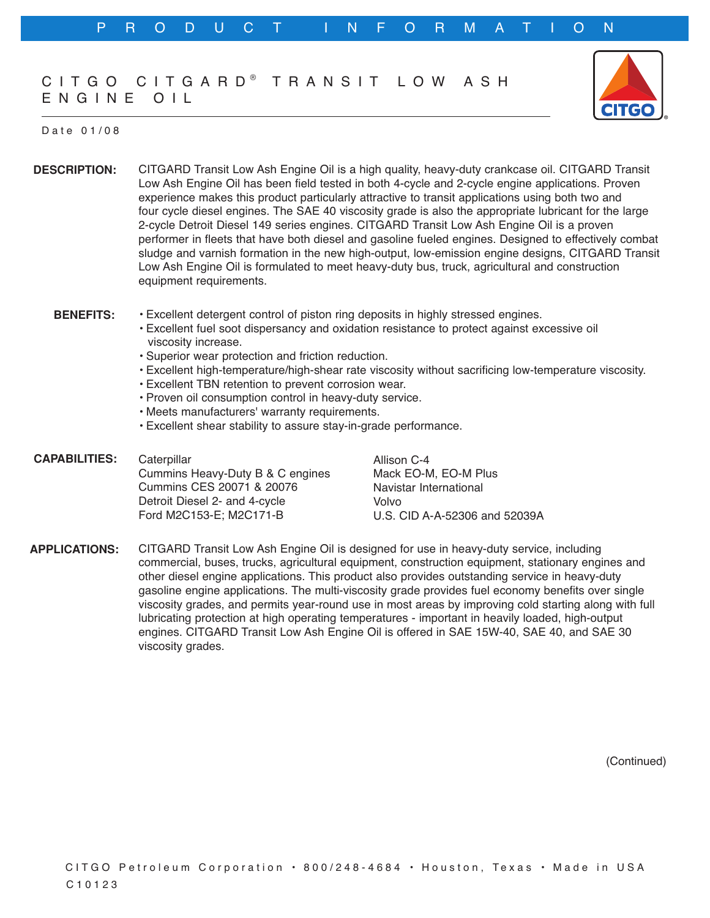## CIT GO CIT GARD<sup>®</sup> T R A N S I T L O W A S H E N G I N E O I L



## D a t e 0 1 / 0 8

**DESCRIPTION:** CITGARD Transit Low Ash Engine Oil is a high quality, heavy-duty crankcase oil. CITGARD Transit Low Ash Engine Oil has been field tested in both 4-cycle and 2-cycle engine applications. Proven experience makes this product particularly attractive to transit applications using both two and four cycle diesel engines. The SAE 40 viscosity grade is also the appropriate lubricant for the large 2-cycle Detroit Diesel 149 series engines. CITGARD Transit Low Ash Engine Oil is a proven performer in fleets that have both diesel and gasoline fueled engines. Designed to effectively combat sludge and varnish formation in the new high-output, low-emission engine designs, CITGARD Transit Low Ash Engine Oil is formulated to meet heavy-duty bus, truck, agricultural and construction equipment requirements.

- **BENEFITS:** • Excellent detergent control of piston ring deposits in highly stressed engines.
	- Excellent fuel soot dispersancy and oxidation resistance to protect against excessive oil viscosity increase.
	- Superior wear protection and friction reduction.
	- Excellent high-temperature/high-shear rate viscosity without sacrificing low-temperature viscosity.
	- Excellent TBN retention to prevent corrosion wear.
	- Proven oil consumption control in heavy-duty service.
	- Meets manufacturers' warranty requirements.
	- Excellent shear stability to assure stay-in-grade performance.
- **CAPABILITIES: Caterpillar** Cummins Heavy-Duty B & C engines Cummins CES 20071 & 20076 Detroit Diesel 2- and 4-cycle Ford M2C153-E; M2C171-B Allison C-4 Volvo

Mack EO-M, EO-M Plus Navistar International U.S. CID A-A-52306 and 52039A

**APPLICATIONS:** CITGARD Transit Low Ash Engine Oil is designed for use in heavy-duty service, including commercial, buses, trucks, agricultural equipment, construction equipment, stationary engines and other diesel engine applications. This product also provides outstanding service in heavy-duty gasoline engine applications. The multi-viscosity grade provides fuel economy benefits over single viscosity grades, and permits year-round use in most areas by improving cold starting along with full lubricating protection at high operating temperatures - important in heavily loaded, high-output engines. CITGARD Transit Low Ash Engine Oil is offered in SAE 15W-40, SAE 40, and SAE 30 viscosity grades.

(Continued)